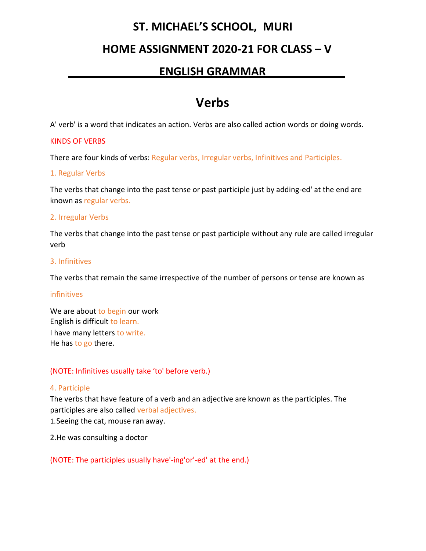## **ST. MICHAEL'S SCHOOL, MURI**

## **HOME ASSIGNMENT 2020-21 FOR CLASS – V**

### **ENGLISH GRAMMAR .**

## **Verbs**

A' verb' is a word that indicates an action. Verbs are also called action words or doing words.

#### KINDS OF VERBS

There are four kinds of verbs: Regular verbs, Irregular verbs, Infinitives and Participles.

#### 1. Regular Verbs

The verbs that change into the past tense or past participle just by adding-ed' at the end are known as regular verbs.

#### 2. Irregular Verbs

The verbs that change into the past tense or past participle without any rule are called irregular verb

#### 3. Infinitives

The verbs that remain the same irrespective of the number of persons or tense are known as

#### infinitives

We are about to begin our work English is difficult to learn. I have many letters to write. He has to go there.

#### (NOTE: Infinitives usually take 'to' before verb.)

#### 4. Participle

The verbs that have feature of a verb and an adjective are known as the participles. The participles are also called verbal adjectives.

1.Seeing the cat, mouse ran away.

2.He was consulting a doctor

(NOTE: The participles usually have'-ing'or'-ed' at the end.)